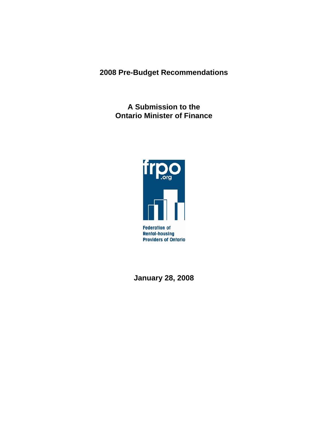**2008 Pre-Budget Recommendations** 

**A Submission to the Ontario Minister of Finance** 



**January 28, 2008**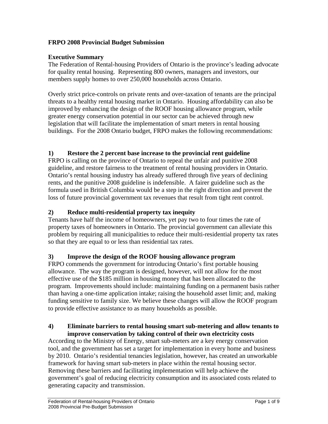## **FRPO 2008 Provincial Budget Submission**

### **Executive Summary**

The Federation of Rental-housing Providers of Ontario is the province's leading advocate for quality rental housing. Representing 800 owners, managers and investors, our members supply homes to over 250,000 households across Ontario.

Overly strict price-controls on private rents and over-taxation of tenants are the principal threats to a healthy rental housing market in Ontario. Housing affordability can also be improved by enhancing the design of the ROOF housing allowance program, while greater energy conservation potential in our sector can be achieved through new legislation that will facilitate the implementation of smart meters in rental housing buildings. For the 2008 Ontario budget, FRPO makes the following recommendations:

# **1) Restore the 2 percent base increase to the provincial rent guideline**

FRPO is calling on the province of Ontario to repeal the unfair and punitive 2008 guideline, and restore fairness to the treatment of rental housing providers in Ontario. Ontario's rental housing industry has already suffered through five years of declining rents, and the punitive 2008 guideline is indefensible. A fairer guideline such as the formula used in British Columbia would be a step in the right direction and prevent the loss of future provincial government tax revenues that result from tight rent control.

## **2) Reduce multi-residential property tax inequity**

Tenants have half the income of homeowners, yet pay two to four times the rate of property taxes of homeowners in Ontario. The provincial government can alleviate this problem by requiring all municipalities to reduce their multi-residential property tax rates so that they are equal to or less than residential tax rates.

## **3) Improve the design of the ROOF housing allowance program**

FRPO commends the government for introducing Ontario's first portable housing allowance. The way the program is designed, however, will not allow for the most effective use of the \$185 million in housing money that has been allocated to the program. Improvements should include: maintaining funding on a permanent basis rather than having a one-time application intake; raising the household asset limit; and, making funding sensitive to family size. We believe these changes will allow the ROOF program to provide effective assistance to as many households as possible.

#### **4) Eliminate barriers to rental housing smart sub-metering and allow tenants to improve conservation by taking control of their own electricity costs**

According to the Ministry of Energy, smart sub-meters are a key energy conservation tool, and the government has set a target for implementation in every home and business by 2010. Ontario's residential tenancies legislation, however, has created an unworkable framework for having smart sub-meters in place within the rental housing sector. Removing these barriers and facilitating implementation will help achieve the government's goal of reducing electricity consumption and its associated costs related to generating capacity and transmission.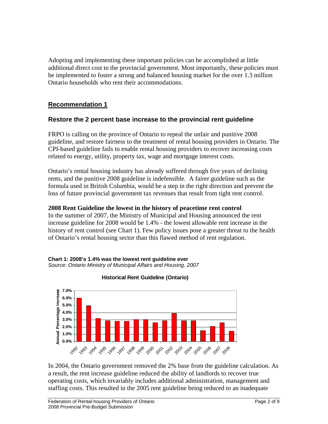Adopting and implementing these important policies can be accomplished at little additional direct cost to the provincial government. Most importantly, these policies must be implemented to foster a strong and balanced housing market for the over 1.3 million Ontario households who rent their accommodations.

# **Recommendation 1**

## **Restore the 2 percent base increase to the provincial rent guideline**

FRPO is calling on the province of Ontario to repeal the unfair and punitive 2008 guideline, and restore fairness to the treatment of rental housing providers in Ontario. The CPI-based guideline fails to enable rental housing providers to recover increasing costs related to energy, utility, property tax, wage and mortgage interest costs.

Ontario's rental housing industry has already suffered through five years of declining rents, and the punitive 2008 guideline is indefensible. A fairer guideline such as the formula used in British Columbia, would be a step in the right direction and prevent the loss of future provincial government tax revenues that result from tight rent control.

#### **2008 Rent Guideline the lowest in the history of peacetime rent control**

In the summer of 2007, the Ministry of Municipal and Housing announced the rent increase guideline for 2008 would be 1.4% - the lowest allowable rent increase in the history of rent control (see Chart 1). Few policy issues pose a greater threat to the health of Ontario's rental housing sector than this flawed method of rent regulation.





**Historical Rent Guideline (Ontario)**

In 2004, the Ontario government removed the 2% base from the guideline calculation. As a result, the rent increase guideline reduced the ability of landlords to recover true operating costs, which invariably includes additional administration, management and staffing costs. This resulted in the 2005 rent guideline being reduced to an inadequate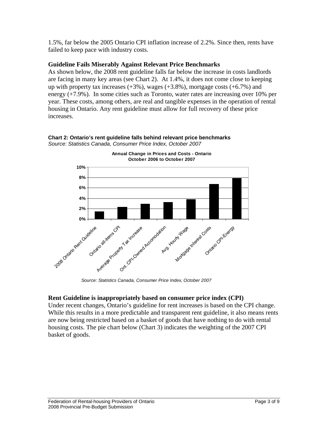1.5%, far below the 2005 Ontario CPI inflation increase of 2.2%. Since then, rents have failed to keep pace with industry costs.

### **Guideline Fails Miserably Against Relevant Price Benchmarks**

As shown below, the 2008 rent guideline falls far below the increase in costs landlords are facing in many key areas (see Chart 2). At 1.4%, it does not come close to keeping up with property tax increases  $(+3\%)$ , wages  $(+3.8\%)$ , mortgage costs  $(+6.7\%)$  and energy (+7.9%). In some cities such as Toronto, water rates are increasing over 10% per year. These costs, among others, are real and tangible expenses in the operation of rental housing in Ontario. Any rent guideline must allow for full recovery of these price increases.



**Chart 2: Ontario's rent guideline falls behind relevant price benchmarks**  *Source: Statistics Canada, Consumer Price Index, October 2007* 

*Source: Statistics Canada, Consumer Price Index, October 2007*

## **Rent Guideline is inappropriately based on consumer price index (CPI)**

Under recent changes, Ontario's guideline for rent increases is based on the CPI change. While this results in a more predictable and transparent rent guideline, it also means rents are now being restricted based on a basket of goods that have nothing to do with rental housing costs. The pie chart below (Chart 3) indicates the weighting of the 2007 CPI basket of goods.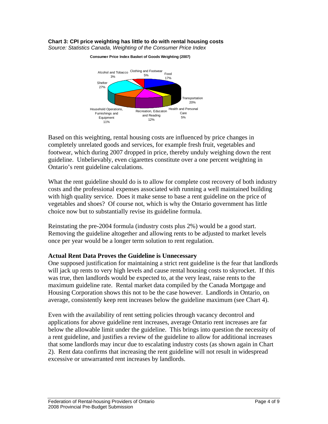## **Chart 3: CPI price weighting has little to do with rental housing costs**

*Source: Statistics Canada, Weighting of the Consumer Price Index*



**Consumer Price Index Basket of Goods Weighting (2007)**

Based on this weighting, rental housing costs are influenced by price changes in completely unrelated goods and services, for example fresh fruit, vegetables and footwear, which during 2007 dropped in price, thereby unduly weighing down the rent guideline. Unbelievably, even cigarettes constitute over a one percent weighting in Ontario's rent guideline calculations.

What the rent guideline should do is to allow for complete cost recovery of both industry costs and the professional expenses associated with running a well maintained building with high quality service. Does it make sense to base a rent guideline on the price of vegetables and shoes? Of course not, which is why the Ontario government has little choice now but to substantially revise its guideline formula.

Reinstating the pre-2004 formula (industry costs plus 2%) would be a good start. Removing the guideline altogether and allowing rents to be adjusted to market levels once per year would be a longer term solution to rent regulation.

#### **Actual Rent Data Proves the Guideline is Unnecessary**

One supposed justification for maintaining a strict rent guideline is the fear that landlords will jack up rents to very high levels and cause rental housing costs to skyrocket. If this was true, then landlords would be expected to, at the very least, raise rents to the maximum guideline rate. Rental market data compiled by the Canada Mortgage and Housing Corporation shows this not to be the case however. Landlords in Ontario, on average, consistently keep rent increases below the guideline maximum (see Chart 4).

Even with the availability of rent setting policies through vacancy decontrol and applications for above guideline rent increases, average Ontario rent increases are far below the allowable limit under the guideline. This brings into question the necessity of a rent guideline, and justifies a review of the guideline to allow for additional increases that some landlords may incur due to escalating industry costs (as shown again in Chart 2). Rent data confirms that increasing the rent guideline will not result in widespread excessive or unwarranted rent increases by landlords.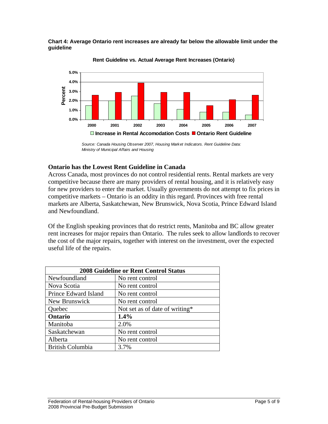



**Rent Guideline vs. Actual Average Rent Increases (Ontario)**

#### **Ontario has the Lowest Rent Guideline in Canada**

Across Canada, most provinces do not control residential rents. Rental markets are very competitive because there are many providers of rental housing, and it is relatively easy for new providers to enter the market. Usually governments do not attempt to fix prices in competitive markets – Ontario is an oddity in this regard. Provinces with free rental markets are Alberta, Saskatchewan, New Brunswick, Nova Scotia, Prince Edward Island and Newfoundland.

Of the English speaking provinces that do restrict rents, Manitoba and BC allow greater rent increases for major repairs than Ontario. The rules seek to allow landlords to recover the cost of the major repairs, together with interest on the investment, over the expected useful life of the repairs.

| <b>2008 Guideline or Rent Control Status</b> |                                |  |
|----------------------------------------------|--------------------------------|--|
| Newfoundland                                 | No rent control                |  |
| Nova Scotia                                  | No rent control                |  |
| Prince Edward Island                         | No rent control                |  |
| New Brunswick                                | No rent control                |  |
| Quebec                                       | Not set as of date of writing* |  |
| Ontario                                      | 1.4%                           |  |
| Manitoba                                     | 2.0%                           |  |
| Saskatchewan                                 | No rent control                |  |
| Alberta                                      | No rent control                |  |
| <b>British Columbia</b>                      | 3.7%                           |  |

*Source: Canada Housing Observer 2007, Housing Market Indicators. Rent Guideline Data: Ministry of Municipal Affairs and Housing*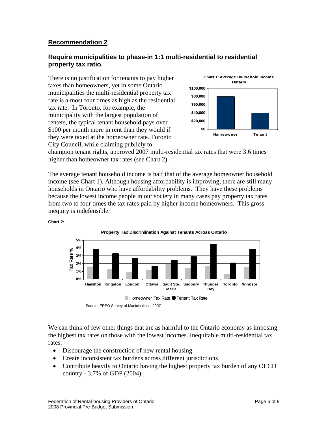## **Recommendation 2**

### **Require municipalities to phase-in 1:1 multi-residential to residential property tax ratio.**

There is no justification for tenants to pay higher taxes than homeowners, yet in some Ontario municipalities the multi-residential property tax rate is almost four times as high as the residential tax rate. In Toronto, for example, the municipality with the largest population of renters, the typical tenant household pays over \$100 per month more in rent than they would if they were taxed at the homeowner rate. Toronto City Council, while claiming publicly to



champion tenant rights, approved 2007 multi-residential tax rates that were 3.6 times higher than homeowner tax rates (see Chart 2).

The average tenant household income is half that of the average homeowner household income (see Chart 1). Although housing affordability is improving, there are still many households in Ontario who have affordability problems. They have these problems because the lowest income people in our society in many cases pay property tax rates from two to four times the tax rates paid by higher income homeowners. This gross inequity is indefensible.



**Chart 2:** 

We can think of few other things that are as harmful to the Ontario economy as imposing the highest tax rates on those with the lowest incomes. Inequitable multi-residential tax rates:

- Discourage the construction of new rental housing
- Create inconsistent tax burdens across different jurisdictions
- Contribute heavily to Ontario having the highest property tax burden of any OECD country - 3.7% of GDP (2004).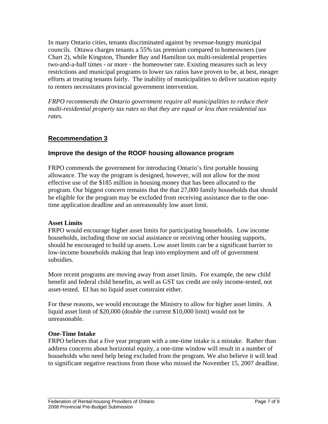In many Ontario cities, tenants discriminated against by revenue-hungry municipal councils. Ottawa charges tenants a 55% tax premium compared to homeowners (see Chart 2), while Kingston, Thunder Bay and Hamilton tax multi-residential properties two-and-a-half times - or more - the homeowner rate. Existing measures such as levy restrictions and municipal programs to lower tax ratios have proven to be, at best, meager efforts at treating tenants fairly. The inability of municipalities to deliver taxation equity to renters necessitates provincial government intervention.

*FRPO recommends the Ontario government require all municipalities to reduce their multi-residential property tax rates so that they are equal or less than residential tax rates.* 

# **Recommendation 3**

## **Improve the design of the ROOF housing allowance program**

FRPO commends the government for introducing Ontario's first portable housing allowance. The way the program is designed, however, will not allow for the most effective use of the \$185 million in housing money that has been allocated to the program. Our biggest concern remains that the that 27,000 family households that should be eligible for the program may be excluded from receiving assistance due to the onetime application deadline and an unreasonably low asset limit.

### **Asset Limits**

FRPO would encourage higher asset limits for participating households. Low income households, including those on social assistance or receiving other housing supports, should be encouraged to build up assets. Low asset limits can be a significant barrier to low-income households making that leap into employment and off of government subsidies.

More recent programs are moving away from asset limits. For example, the new child benefit and federal child benefits, as well as GST tax credit are only income-tested, not asset-tested. EI has no liquid asset constraint either.

For these reasons, we would encourage the Ministry to allow for higher asset limits. A liquid asset limit of \$20,000 (double the current \$10,000 limit) would not be unreasonable.

### **One-Time Intake**

FRPO believes that a five year program with a one-time intake is a mistake. Rather than address concerns about horizontal equity, a one-time window will result in a number of households who need help being excluded from the program. We also believe it will lead to significant negative reactions from those who missed the November 15, 2007 deadline.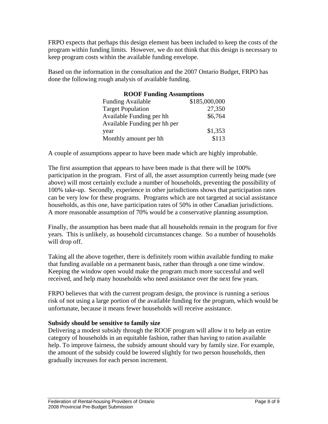FRPO expects that perhaps this design element has been included to keep the costs of the program within funding limits. However, we do not think that this design is necessary to keep program costs within the available funding envelope.

Based on the information in the consultation and the 2007 Ontario Budget, FRPO has done the following rough analysis of available funding.

## **ROOF Funding Assumptions**

| <b>Funding Available</b>     | \$185,000,000 |
|------------------------------|---------------|
| <b>Target Population</b>     | 27,350        |
| Available Funding per hh     | \$6,764       |
| Available Funding per hh per |               |
| year                         | \$1,353       |
| Monthly amount per hh        | \$113         |

A couple of assumptions appear to have been made which are highly improbable.

The first assumption that appears to have been made is that there will be 100% participation in the program. First of all, the asset assumption currently being made (see above) will most certainly exclude a number of households, preventing the possibility of 100% take-up. Secondly, experience in other jurisdictions shows that participation rates can be very low for these programs. Programs which are not targeted at social assistance households, as this one, have participation rates of 50% in other Canadian jurisdictions. A more reasonable assumption of 70% would be a conservative planning assumption.

Finally, the assumption has been made that all households remain in the program for five years. This is unlikely, as household circumstances change. So a number of households will drop off.

Taking all the above together, there is definitely room within available funding to make that funding available on a permanent basis, rather than through a one time window. Keeping the window open would make the program much more successful and well received, and help many households who need assistance over the next few years.

FRPO believes that with the current program design, the province is running a serious risk of not using a large portion of the available funding for the program, which would be unfortunate, because it means fewer households will receive assistance.

### **Subsidy should be sensitive to family size**

Delivering a modest subsidy through the ROOF program will allow it to help an entire category of households in an equitable fashion, rather than having to ration available help. To improve fairness, the subsidy amount should vary by family size. For example, the amount of the subsidy could be lowered slightly for two person households, then gradually increases for each person increment.